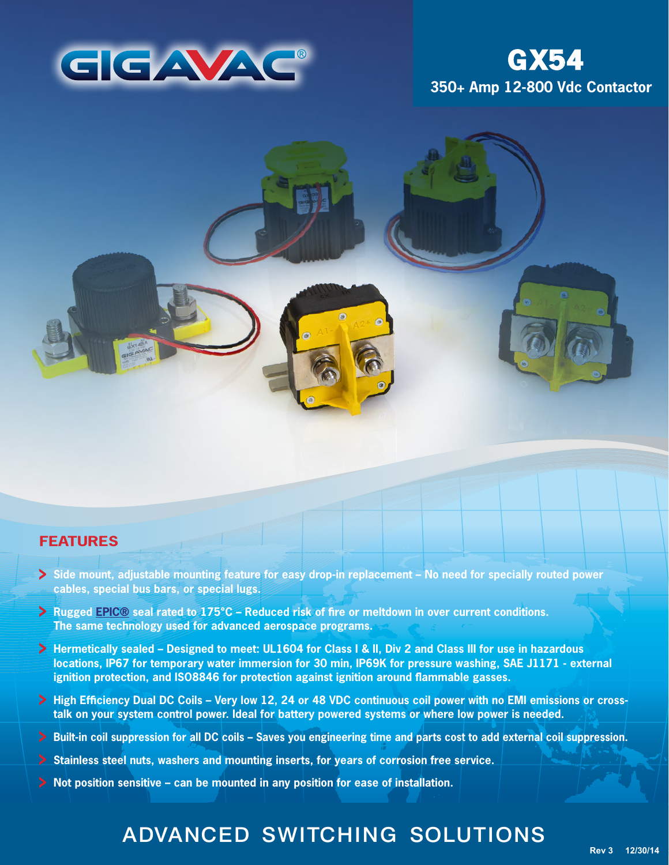

# **350+ Amp 12-800 Vdc Contactor GX54**

### **FEATURES**

- **Side mount, adjustable mounting feature for easy drop-in replacement No need for specially routed power cables, special bus bars, or special lugs.**
- **Rugged [EPIC®](http://www.gigavac.com/apps/relays/epic/index.htm) seal rated to 175°C Reduced risk of fire or meltdown in over current conditions. The same technology used for advanced aerospace programs.**
- **Hermetically sealed Designed to meet: UL1604 for Class I & II, Div 2 and Class III for use in hazardous locations, IP67 for temporary water immersion for 30 min, IP69K for pressure washing, SAE J1171 - external ignition protection, and ISO8846 for protection against ignition around flammable gasses.**
- **High Efficiency Dual DC Coils Very low 12, 24 or 48 VDC continuous coil power with no EMI emissions or crosstalk on your system control power. Ideal for battery powered systems or where low power is needed.**
- **Built-in coil suppression for all DC coils Saves you engineering time and parts cost to add external coil suppression.**
- **Stainless steel nuts, washers and mounting inserts, for years of corrosion free service.**
- **Not position sensitive can be mounted in any position for ease of installation.**

# ADVANCED SWITCHING SOLUTIONS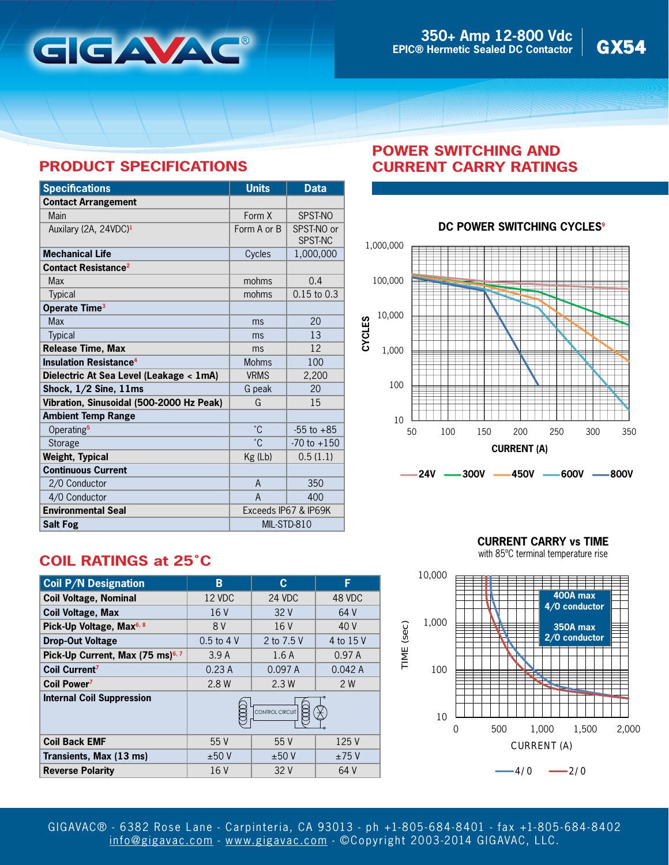

## **PRODUCT SPECIFICATIONS**

| <b>Specifications</b>                    | <b>Units</b>         | <b>Data</b>                  |
|------------------------------------------|----------------------|------------------------------|
| <b>Contact Arrangement</b>               |                      |                              |
| Main                                     | Form X               | SPST-NO                      |
| Auxilary (2A, 24VDC) <sup>1</sup>        | Form A or B          | SPST-NO or<br><b>SPST-NC</b> |
| <b>Mechanical Life</b>                   | Cycles               | 1,000,000                    |
| <b>Contact Resistance<sup>2</sup></b>    |                      |                              |
| <b>Max</b>                               | mohms                | 0.4                          |
| <b>Typical</b>                           | mohms                | $0.15$ to $0.3$              |
| Operate Time <sup>3</sup>                |                      |                              |
| <b>Max</b>                               | ms                   | 20                           |
| <b>Typical</b>                           | ms                   | 13                           |
| Release Time, Max                        | ms                   | 12                           |
| <b>Insulation Resistance<sup>4</sup></b> | <b>Mohms</b>         | 100                          |
| Dielectric At Sea Level (Leakage < 1mA)  | <b>VRMS</b>          | 2,200                        |
| Shock, $1/2$ Sine, $11ms$                | G peak               | 20                           |
| Vibration, Sinusoidal (500-2000 Hz Peak) | G                    | 15                           |
| <b>Ambient Temp Range</b>                |                      |                              |
| Operating <sup>5</sup>                   | °C.                  | $-55$ to $+85$               |
| Storage                                  | °С                   | $-70$ to $+150$              |
| <b>Weight, Typical</b>                   | $Kg$ (Lb)            | 0.5(1.1)                     |
| <b>Continuous Current</b>                |                      |                              |
| 2/0 Conductor                            | A                    | 350                          |
| 4/0 Conductor                            | A                    | 400                          |
| <b>Environmental Seal</b>                | Exceeds IP67 & IP69K |                              |
| <b>Salt Fog</b>                          | MIL-STD-810          |                              |

## **POWER SWITCHING AND CURRENT CARRY RATINGS**



#### **DC POWER SWITCHING CYCLES<sup>9</sup>**

# **COIL RATINGS at 25˚C**

| <b>Coil P/N Designation</b>                  | B               | C          | F         |
|----------------------------------------------|-----------------|------------|-----------|
| <b>Coil Voltage, Nominal</b>                 | 12 VDC          | 24 VDC     | 48 VDC    |
| <b>Coil Voltage, Max</b>                     | 16 V            | 32V        | 64 V      |
| Pick-Up Voltage, Max <sup>6, 8</sup>         | 8 V             | 16V        | 40 V      |
| <b>Drop-Out Voltage</b>                      | $0.5$ to $4$ V  | 2 to 7.5 V | 4 to 15 V |
| Pick-Up Current, Max (75 ms) <sup>6, 7</sup> | 3.9A            | 1.6A       | 0.97A     |
| Coil Current <sup>7</sup>                    | 0.23A           | 0.097A     | 0.042A    |
| Coil Power <sup>7</sup>                      | 2.8 W           | 2.3W       | 2 W       |
| <b>Internal Coil Suppression</b>             | CONTROL CIRCUIT |            |           |
| <b>Coil Back EMF</b>                         | 55 V            | 55V        | 125 V     |
| Transients, Max (13 ms)                      | ±50V            | ±50V       | ±75V      |
| <b>Reverse Polarity</b>                      | 16 V            | 32 V       | 64 V      |

**CURRENT CARRY vs TIME**

with 85ºC terminal temperature rise



GIGAVAC® - 6382 Rose Lane - Carpinteria, CA 93013 - ph +1-805- 684-8401 - fax +1-805- 684-8402 [info@gigavac.com](mailto:info@gigavac.com) - <www.gigavac.com> - ©Copyright 2003-2014 GIGAVAC, LLC.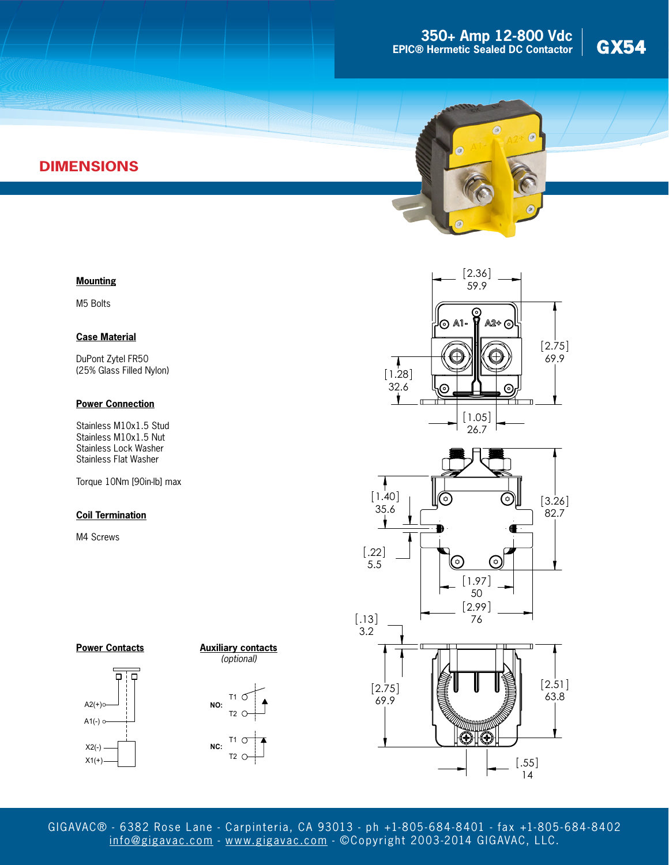



# **DIMENSIONS**

#### **Mounting**

M5 Bolts

#### **Case Material**

DuPont Zytel FR50 (25% Glass Filled Nylon)

#### **Power Connection**

Stainless M10x1.5 Stud Stainless M10x1.5 Nut Stainless Lock Washer Stainless Flat Washer

Torque 10Nm [90in-lb] max

#### **Coil Termination**

M4 Screws







 $T2$  O







GIGAVAC® - 6382 Rose Lane - Carpinteria, CA 93013 - ph +1-805- 684-8401 - fax +1-805- 684-8402 [info@gigavac.com](mailto:info@gigavac.com) - <www.gigavac.com> - ©Copyright 2003-2014 GIGAVAC, LLC.